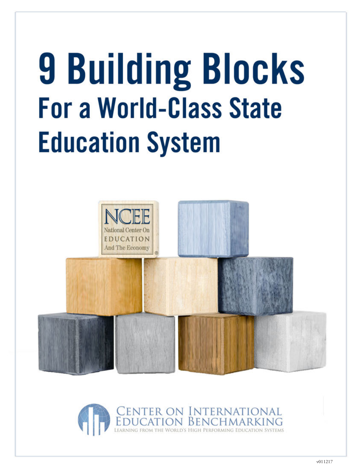# **9 Building Blocks For a World-Class State Education System**



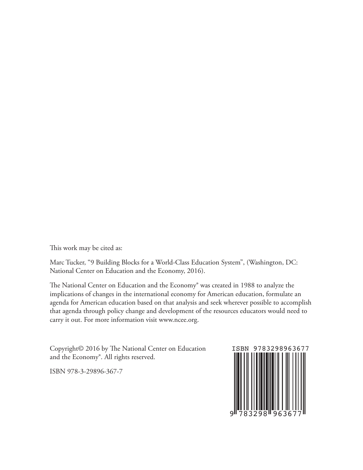This work may be cited as:

Marc Tucker, "9 Building Blocks for a World-Class Education System", (Washington, DC: National Center on Education and the Economy, 2016).

The National Center on Education and the Economy® was created in 1988 to analyze the implications of changes in the international economy for American education, formulate an agenda for American education based on that analysis and seek wherever possible to accomplish that agenda through policy change and development of the resources educators would need to carry it out. For more information visit www.ncee.org.

Copyright© 2016 by The National Center on Education and the Economy®. All rights reserved.

ISBN 978-3-29896-367-7

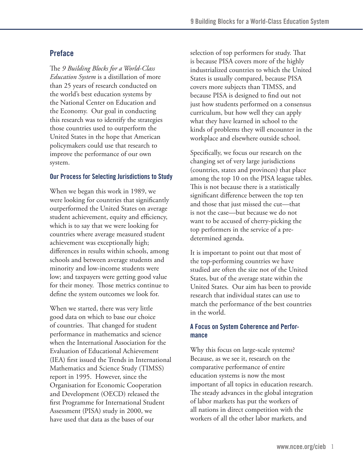## **Preface**

The *9 Building Blocks for a World-Class Education System* is a distillation of more than 25 years of research conducted on the world's best education systems by the National Center on Education and the Economy. Our goal in conducting this research was to identify the strategies those countries used to outperform the United States in the hope that American policymakers could use that research to improve the performance of our own system.

## **Our Process for Selecting Jurisdictions to Study**

When we began this work in 1989, we were looking for countries that significantly outperformed the United States on average student achievement, equity and efficiency, which is to say that we were looking for countries where average measured student achievement was exceptionally high; differences in results within schools, among schools and between average students and minority and low-income students were low; and taxpayers were getting good value for their money. Those metrics continue to define the system outcomes we look for.

When we started, there was very little good data on which to base our choice of countries. That changed for student performance in mathematics and science when the International Association for the Evaluation of Educational Achievement (IEA) first issued the Trends in International Mathematics and Science Study (TIMSS) report in 1995. However, since the Organisation for Economic Cooperation and Development (OECD) released the first Programme for International Student Assessment (PISA) study in 2000, we have used that data as the bases of our

selection of top performers for study. That is because PISA covers more of the highly industrialized countries to which the United States is usually compared, because PISA covers more subjects than TIMSS, and because PISA is designed to find out not just how students performed on a consensus curriculum, but how well they can apply what they have learned in school to the kinds of problems they will encounter in the workplace and elsewhere outside school.

Specifically, we focus our research on the changing set of very large jurisdictions (countries, states and provinces) that place among the top 10 on the PISA league tables. This is not because there is a statistically significant difference between the top ten and those that just missed the cut—that is not the case—but because we do not want to be accused of cherry-picking the top performers in the service of a predetermined agenda.

It is important to point out that most of the top-performing countries we have studied are often the size not of the United States, but of the average state within the United States. Our aim has been to provide research that individual states can use to match the performance of the best countries in the world.

## **A Focus on System Coherence and Performance**

Why this focus on large-scale systems? Because, as we see it, research on the comparative performance of entire education systems is now the most important of all topics in education research. The steady advances in the global integration of labor markets has put the workers of all nations in direct competition with the workers of all the other labor markets, and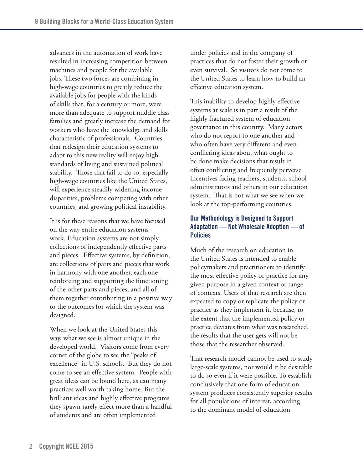advances in the automation of work have resulted in increasing competition between machines and people for the available jobs. These two forces are combining in high-wage countries to greatly reduce the available jobs for people with the kinds of skills that, for a century or more, were more than adequate to support middle class families and greatly increase the demand for workers who have the knowledge and skills characteristic of professionals. Countries that redesign their education systems to adapt to this new reality will enjoy high standards of living and sustained political stability. Those that fail to do so, especially high-wage countries like the United States, will experience steadily widening income disparities, problems competing with other countries, and growing political instability.

It is for these reasons that we have focused on the way entire education systems work. Education systems are not simply collections of independently effective parts and pieces. Effective systems, by definition, are collections of parts and pieces that work in harmony with one another, each one reinforcing and supporting the functioning of the other parts and pieces, and all of them together contributing in a positive way to the outcomes for which the system was designed.

When we look at the United States this way, what we see is almost unique in the developed world. Visitors come from every corner of the globe to see the "peaks of excellence" in U.S. schools. But they do not come to see an effective system. People with great ideas can be found here, as can many practices well worth taking home. But the brilliant ideas and highly effective programs they spawn rarely effect more than a handful of students and are often implemented

under policies and in the company of practices that do not foster their growth or even survival. So visitors do not come to the United States to learn how to build an effective education system.

This inability to develop highly effective systems at scale is in part a result of the highly fractured system of education governance in this country. Many actors who do not report to one another and who often have very different and even conflicting ideas about what ought to be done make decisions that result in often conflicting and frequently perverse incentives facing teachers, students, school administrators and others in our education system. That is not what we see when we look at the top-performing countries.

## **Our Methodology is Designed to Support Adaptation — Not Wholesale Adoption — of Policies**

Much of the research on education in the United States is intended to enable policymakers and practitioners to identify the most effective policy or practice for any given purpose in a given context or range of contexts. Users of that research are then expected to copy or replicate the policy or practice as they implement it, because, to the extent that the implemented policy or practice deviates from what was researched, the results that the user gets will not be those that the researcher observed.

That research model cannot be used to study large-scale systems, nor would it be desirable to do so even if it were possible. To establish conclusively that one form of education system produces consistently superior results for all populations of interest, according to the dominant model of education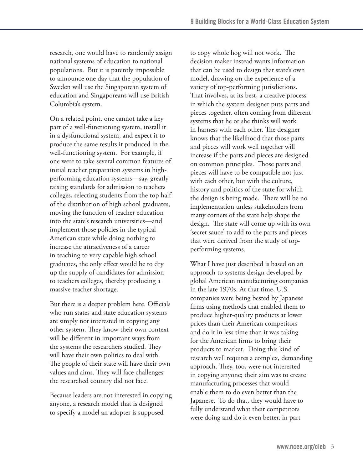research, one would have to randomly assign national systems of education to national populations. But it is patently impossible to announce one day that the population of Sweden will use the Singaporean system of education and Singaporeans will use British Columbia's system.

On a related point, one cannot take a key part of a well-functioning system, install it in a dysfunctional system, and expect it to produce the same results it produced in the well-functioning system. For example, if one were to take several common features of initial teacher preparation systems in highperforming education systems—say, greatly raising standards for admission to teachers colleges, selecting students from the top half of the distribution of high school graduates, moving the function of teacher education into the state's research universities—and implement those policies in the typical American state while doing nothing to increase the attractiveness of a career in teaching to very capable high school graduates, the only effect would be to dry up the supply of candidates for admission to teachers colleges, thereby producing a massive teacher shortage.

But there is a deeper problem here. Officials who run states and state education systems are simply not interested in copying any other system. They know their own context will be different in important ways from the systems the researchers studied. They will have their own politics to deal with. The people of their state will have their own values and aims. They will face challenges the researched country did not face.

Because leaders are not interested in copying anyone, a research model that is designed to specify a model an adopter is supposed

to copy whole hog will not work. The decision maker instead wants information that can be used to design that state's own model, drawing on the experience of a variety of top-performing jurisdictions. That involves, at its best, a creative process in which the system designer puts parts and pieces together, often coming from different systems that he or she thinks will work in harness with each other. The designer knows that the likelihood that those parts and pieces will work well together will increase if the parts and pieces are designed on common principles. Those parts and pieces will have to be compatible not just with each other, but with the culture, history and politics of the state for which the design is being made. There will be no implementation unless stakeholders from many corners of the state help shape the design. The state will come up with its own 'secret sauce' to add to the parts and pieces that were derived from the study of topperforming systems.

What I have just described is based on an approach to systems design developed by global American manufacturing companies in the late 1970s. At that time, U.S. companies were being bested by Japanese firms using methods that enabled them to produce higher-quality products at lower prices than their American competitors and do it in less time than it was taking for the American firms to bring their products to market. Doing this kind of research well requires a complex, demanding approach. They, too, were not interested in copying anyone; their aim was to create manufacturing processes that would enable them to do even better than the Japanese. To do that, they would have to fully understand what their competitors were doing and do it even better, in part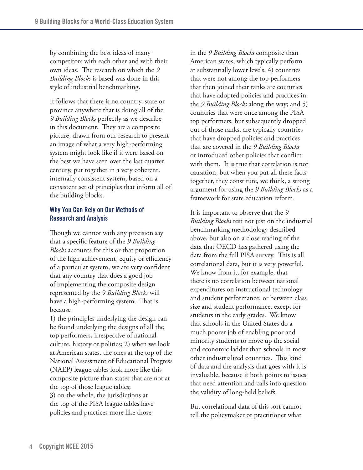by combining the best ideas of many competitors with each other and with their own ideas. The research on which the *9 Building Blocks* is based was done in this style of industrial benchmarking.

It follows that there is no country, state or province anywhere that is doing all of the *9 Building Blocks* perfectly as we describe in this document. They are a composite picture, drawn from our research to present an image of what a very high-performing system might look like if it were based on the best we have seen over the last quarter century, put together in a very coherent, internally consistent system, based on a consistent set of principles that inform all of the building blocks.

## **Why You Can Rely on Our Methods of Research and Analysis**

Though we cannot with any precision say that a specific feature of the *9 Building Blocks* accounts for this or that proportion of the high achievement, equity or efficiency of a particular system, we are very confident that any country that does a good job of implementing the composite design represented by the *9 Building Blocks* will have a high-performing system. That is because

1) the principles underlying the design can be found underlying the designs of all the top performers, irrespective of national culture, history or politics; 2) when we look at American states, the ones at the top of the National Assessment of Educational Progress (NAEP) league tables look more like this composite picture than states that are not at the top of those league tables; 3) on the whole, the jurisdictions at the top of the PISA league tables have policies and practices more like those

in the *9 Building Blocks* composite than American states, which typically perform at substantially lower levels; 4) countries that were not among the top performers that then joined their ranks are countries that have adopted policies and practices in the *9 Building Blocks* along the way; and 5) countries that were once among the PISA top performers, but subsequently dropped out of those ranks, are typically countries that have dropped policies and practices that are covered in the *9 Building Blocks* or introduced other policies that conflict with them. It is true that correlation is not causation, but when you put all these facts together, they constitute, we think, a strong argument for using the *9 Building Blocks* as a framework for state education reform.

It is important to observe that the *9 Building Blocks* rest not just on the industrial benchmarking methodology described above, but also on a close reading of the data that OECD has gathered using the data from the full PISA survey. This is all correlational data, but it is very powerful. We know from it, for example, that there is no correlation between national expenditures on instructional technology and student performance; or between class size and student performance, except for students in the early grades. We know that schools in the United States do a much poorer job of enabling poor and minority students to move up the social and economic ladder than schools in most other industrialized countries. This kind of data and the analysis that goes with it is invaluable, because it both points to issues that need attention and calls into question the validity of long-held beliefs.

But correlational data of this sort cannot tell the policymaker or practitioner what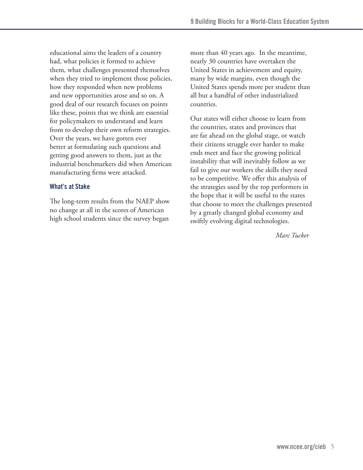educational aims the leaders of a country had, what policies it formed to achieve them, what challenges presented themselves when they tried to implement those policies, how they responded when new problems and new opportunities arose and so on. A good deal of our research focuses on points like these, points that we think are essential for policymakers to understand and learn from to develop their own reform strategies. Over the years, we have gotten ever better at formulating such questions and getting good answers to them, just as the industrial benchmarkers did when American manufacturing firms were attacked.

#### **What's at Stake**

The long-term results from the NAEP show no change at all in the scores of American high school students since the survey began

more than 40 years ago. In the meantime, nearly 30 countries have overtaken the United States in achievement and equity, many by wide margins, even though the United States spends more per student than all but a handful of other industrialized countries.

Our states will either choose to learn from the countries, states and provinces that are far ahead on the global stage, or watch their citizens struggle ever harder to make ends meet and face the growing political instability that will inevitably follow as we fail to give our workers the skills they need to be competitive. We offer this analysis of the strategies used by the top performers in the hope that it will be useful to the states that choose to meet the challenges presented by a greatly changed global economy and swiftly evolving digital technologies.

*Marc Tucker*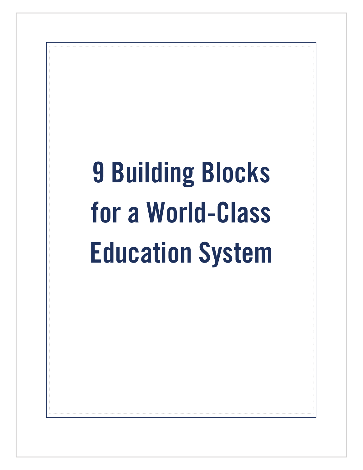# **9 Building Blocks for a World-Class Education System**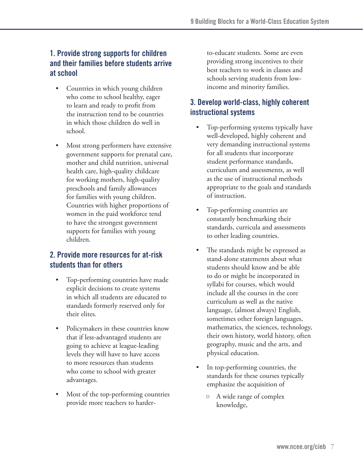# **1. Provide strong supports for children and their families before students arrive at school**

- Countries in which young children who come to school healthy, eager to learn and ready to profit from the instruction tend to be countries in which those children do well in school.
- Most strong performers have extensive government supports for prenatal care, mother and child nutrition, universal health care, high-quality childcare for working mothers, high-quality preschools and family allowances for families with young children. Countries with higher proportions of women in the paid workforce tend to have the strongest government supports for families with young children.

## **2. Provide more resources for at-risk students than for others**

- • Top-performing countries have made explicit decisions to create systems in which all students are educated to standards formerly reserved only for their elites.
- Policymakers in these countries know that if less-advantaged students are going to achieve at league-leading levels they will have to have access to more resources than students who come to school with greater advantages.
- Most of the top-performing countries provide more teachers to harder-

to-educate students. Some are even providing strong incentives to their best teachers to work in classes and schools serving students from lowincome and minority families.

# **3. Develop world-class, highly coherent instructional systems**

- Top-performing systems typically have well-developed, highly coherent and very demanding instructional systems for all students that incorporate student performance standards, curriculum and assessments, as well as the use of instructional methods appropriate to the goals and standards of instruction.
- Top-performing countries are constantly benchmarking their standards, curricula and assessments to other leading countries.
- The standards might be expressed as stand-alone statements about what students should know and be able to do or might be incorporated in syllabi for courses, which would include all the courses in the core curriculum as well as the native language, (almost always) English, sometimes other foreign languages, mathematics, the sciences, technology, their own history, world history, often geography, music and the arts, and physical education.
- In top-performing countries, the standards for these courses typically emphasize the acquisition of
	- A wide range of complex knowledge,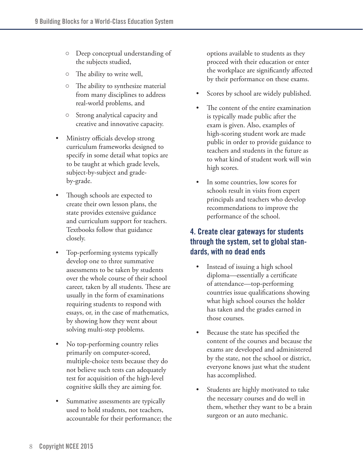- Deep conceptual understanding of the subjects studied,
- The ability to write well,
- The ability to synthesize material from many disciplines to address real-world problems, and
- Strong analytical capacity and creative and innovative capacity.
- Ministry officials develop strong curriculum frameworks designed to specify in some detail what topics are to be taught at which grade levels, subject-by-subject and gradeby-grade.
- Though schools are expected to create their own lesson plans, the state provides extensive guidance and curriculum support for teachers. Textbooks follow that guidance closely.
- • Top-performing systems typically develop one to three summative assessments to be taken by students over the whole course of their school career, taken by all students. These are usually in the form of examinations requiring students to respond with essays, or, in the case of mathematics, by showing how they went about solving multi-step problems.
- No top-performing country relies primarily on computer-scored, multiple-choice tests because they do not believe such tests can adequately test for acquisition of the high-level cognitive skills they are aiming for.
- Summative assessments are typically used to hold students, not teachers, accountable for their performance; the

options available to students as they proceed with their education or enter the workplace are significantly affected by their performance on these exams.

- Scores by school are widely published.
- The content of the entire examination is typically made public after the exam is given. Also, examples of high-scoring student work are made public in order to provide guidance to teachers and students in the future as to what kind of student work will win high scores.
- In some countries, low scores for schools result in visits from expert principals and teachers who develop recommendations to improve the performance of the school.

# **4. Create clear gateways for students through the system, set to global standards, with no dead ends**

- Instead of issuing a high school diploma—essentially a certificate of attendance—top-performing countries issue qualifications showing what high school courses the holder has taken and the grades earned in those courses.
- Because the state has specified the content of the courses and because the exams are developed and administered by the state, not the school or district, everyone knows just what the student has accomplished.
- Students are highly motivated to take the necessary courses and do well in them, whether they want to be a brain surgeon or an auto mechanic.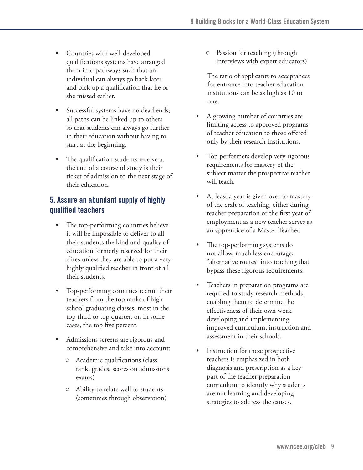- Countries with well-developed qualifications systems have arranged them into pathways such that an individual can always go back later and pick up a qualification that he or she missed earlier.
- Successful systems have no dead ends; all paths can be linked up to others so that students can always go further in their education without having to start at the beginning.
- The qualification students receive at the end of a course of study is their ticket of admission to the next stage of their education.

# **5. Assure an abundant supply of highly qualified teachers**

- The top-performing countries believe it will be impossible to deliver to all their students the kind and quality of education formerly reserved for their elites unless they are able to put a very highly qualified teacher in front of all their students.
- Top-performing countries recruit their teachers from the top ranks of high school graduating classes, most in the top third to top quarter, or, in some cases, the top five percent.
- Admissions screens are rigorous and comprehensive and take into account:
	- Academic qualifications (class rank, grades, scores on admissions exams)
	- Ability to relate well to students (sometimes through observation)

○ Passion for teaching (through interviews with expert educators)

The ratio of applicants to acceptances for entrance into teacher education institutions can be as high as 10 to one.

- A growing number of countries are limiting access to approved programs of teacher education to those offered only by their research institutions.
- Top performers develop very rigorous requirements for mastery of the subject matter the prospective teacher will teach.
- At least a year is given over to mastery of the craft of teaching, either during teacher preparation or the first year of employment as a new teacher serves as an apprentice of a Master Teacher.
- The top-performing systems do not allow, much less encourage, "alternative routes" into teaching that bypass these rigorous requirements.
- Teachers in preparation programs are. required to study research methods, enabling them to determine the effectiveness of their own work developing and implementing improved curriculum, instruction and assessment in their schools.
- Instruction for these prospective teachers is emphasized in both diagnosis and prescription as a key part of the teacher preparation curriculum to identify why students are not learning and developing strategies to address the causes.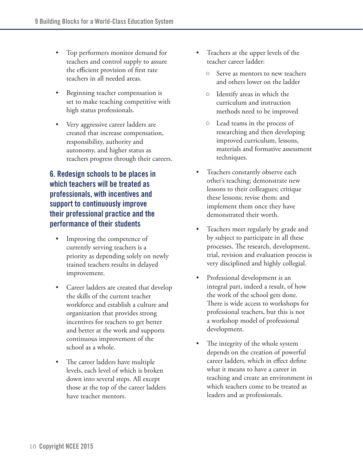- Top performers monitor demand for teachers and control supply to assure the efficient provision of first rate teachers in all needed areas.
- Beginning teacher compensation is set to make teaching competitive with high status professionals.
- Very aggressive career ladders are created that increase compensation, responsibility, authority and autonomy, and higher status as teachers progress through their careers.

# **6. Redesign schools to be places in which teachers will be treated as professionals, with incentives and support to continuously improve their professional practice and the performance of their students**

- Improving the competence of currently serving teachers is a priority as depending solely on newly trained teachers results in delayed improvement.
- Career ladders are created that develop the skills of the current teacher workforce and establish a culture and organization that provides strong incentives for teachers to get better and better at the work and supports continuous improvement of the school as a whole.
- The career ladders have multiple levels, each level of which is broken down into several steps. All except those at the top of the career ladders have teacher mentors.
- Teachers at the upper levels of the teacher career ladder:
	- Serve as mentors to new teachers and others lower on the ladder
	- Identify areas in which the curriculum and instruction methods need to be improved
	- Lead teams in the process of researching and then developing improved curriculum, lessons, materials and formative assessment techniques.
- Teachers constantly observe each other's teaching; demonstrate new lessons to their colleagues; critique these lessons; revise them; and implement them once they have demonstrated their worth.
- Teachers meet regularly by grade and by subject to participate in all these processes. The research, development, trial, revision and evaluation process is very disciplined and highly collegial.
- Professional development is an integral part, indeed a result, of how the work of the school gets done. There is wide access to workshops for professional teachers, but this is not a workshop model of professional development.
- The integrity of the whole system depends on the creation of powerful career ladders, which in effect define what it means to have a career in teaching and create an environment in which teachers come to be treated as leaders and as professionals.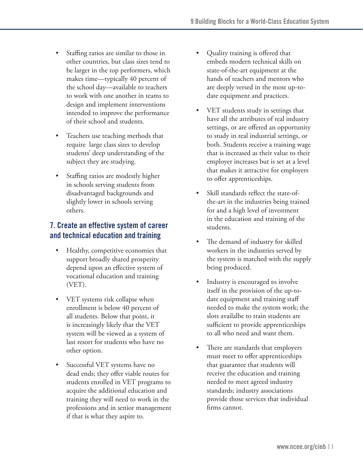- Staffing ratios are similar to those in other countries, but class sizes tend to be larger in the top performers, which makes time—typically 40 percent of the school day—available to teachers to work with one another in teams to design and implement interventions intended to improve the performance of their school and students.
- Teachers use teaching methods that require large class sizes to develop students' deep understanding of the subject they are studying.
- Staffing ratios are modestly higher in schools serving students from disadvantaged backgrounds and slightly lower in schools serving others.

# **7. Create an effective system of career and technical education and training**

- Healthy, competitive economies that support broadly shared prosperity depend upon an effective system of vocational education and training (VET).
- VET systems risk collapse when enrollment is below 40 percent of all students. Below that point, it is increasingly likely that the VET system will be viewed as a system of last resort for students who have no other option.
- • Successful VET systems have no dead ends; they offer viable routes for students enrolled in VET programs to acquire the additional education and training they will need to work in the professions and in senior management if that is what they aspire to.
- Quality training is offered that embeds modern technical skills on state-of-the-art equipment at the hands of teachers and mentors who are deeply versed in the most up-todate equipment and practices.
- VET students study in settings that have all the attributes of real industry settings, or are offered an opportunity to study in real industrial settings, or both. Students receive a training wage that is increased as their value to their employer increases but is set at a level that makes it attractive for employers to offer apprenticeships.
- Skill standards reflect the state-ofthe-art in the industries being trained for and a high level of investment in the education and training of the students.
- The demand of industry for skilled workers in the industries served by the system is matched with the supply being produced.
- Industry is encouraged to involve itself in the provision of the up-todate equipment and training staff needed to make the system work; the slots availalbe to train students are sufficient to provide apprenticeships to all who need and want them.
- There are standards that employers must meet to offer apprenticeships that guarantee that students will receive the education and training needed to meet agreed industry standards; industry associations provide those services that individual firms cannot.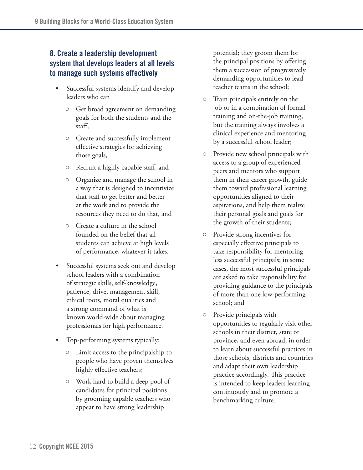# **8. Create a leadership development system that develops leaders at all levels to manage such systems effectively**

- Successful systems identify and develop leaders who can
	- Get broad agreement on demanding goals for both the students and the staff,
	- Create and successfully implement effective strategies for achieving those goals,
	- Recruit a highly capable staff, and
	- Organize and manage the school in a way that is designed to incentivize that staff to get better and better at the work and to provide the resources they need to do that, and
	- Create a culture in the school founded on the belief that all students can achieve at high levels of performance, whatever it takes.
- Successful systems seek out and develop school leaders with a combination of strategic skills, self-knowledge, patience, drive, management skill, ethical roots, moral qualities and a strong command of what is known world-wide about managing professionals for high performance.
- Top-performing systems typically:
	- Limit access to the principalship to people who have proven themselves highly effective teachers;
	- Work hard to build a deep pool of candidates for principal positions by grooming capable teachers who appear to have strong leadership

potential; they groom them for the principal positions by offering them a succession of progressively demanding opportunities to lead teacher teams in the school;

- Train principals entirely on the job or in a combination of formal training and on-the-job training, but the training always involves a clinical experience and mentoring by a successful school leader;
- Provide new school principals with access to a group of experienced peers and mentors who support them in their career growth, guide them toward professional learning opportunities aligned to their aspirations, and help them realize their personal goals and goals for the growth of their students;
- Provide strong incentives for especially effective principals to take responsibility for mentoring less successful principals; in some cases, the most successful principals are asked to take responsibility for providing guidance to the principals of more than one low-performing school; and
- Provide principals with opportunities to regularly visit other schools in their district, state or province, and even abroad, in order to learn about successful practices in those schools, districts and countries and adapt their own leadership practice accordingly. This practice is intended to keep leaders learning continuously and to promote a benchmarking culture.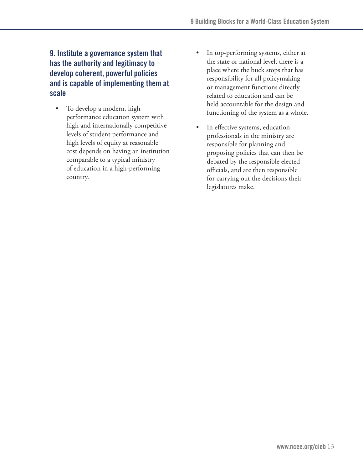# **9. Institute a governance system that has the authority and legitimacy to develop coherent, powerful policies and is capable of implementing them at scale**

- To develop a modern, highperformance education system with high and internationally competitive levels of student performance and high levels of equity at reasonable cost depends on having an institution comparable to a typical ministry of education in a high-performing country.
- In top-performing systems, either at the state or national level, there is a place where the buck stops that has responsibility for all policymaking or management functions directly related to education and can be held accountable for the design and functioning of the system as a whole.
- In effective systems, education professionals in the ministry are responsible for planning and proposing policies that can then be debated by the responsible elected officials, and are then responsible for carrying out the decisions their legislatures make.